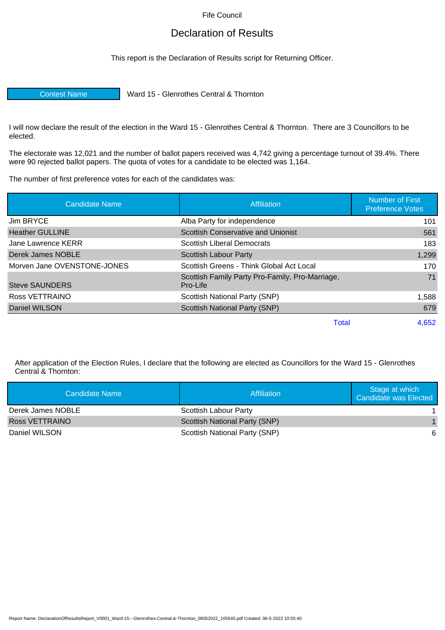Fife Council

## Declaration of Results

This report is the Declaration of Results script for Returning Officer.

Contest Name Ward 15 - Glenrothes Central & Thornton

I will now declare the result of the election in the Ward 15 - Glenrothes Central & Thornton. There are 3 Councillors to be elected.

The electorate was 12,021 and the number of ballot papers received was 4,742 giving a percentage turnout of 39.4%. There were 90 rejected ballot papers. The quota of votes for a candidate to be elected was 1,164.

The number of first preference votes for each of the candidates was:

| <b>Candidate Name</b>       | <b>Affiliation</b>                                          | <b>Number of First</b><br><b>Preference Votes</b> |
|-----------------------------|-------------------------------------------------------------|---------------------------------------------------|
| Jim BRYCE                   | Alba Party for independence                                 | 101                                               |
| <b>Heather GULLINE</b>      | Scottish Conservative and Unionist                          | 561                                               |
| Jane Lawrence KERR          | <b>Scottish Liberal Democrats</b>                           | 183                                               |
| Derek James NOBLE           | Scottish Labour Party                                       | 1,299                                             |
| Morven Jane OVENSTONE-JONES | Scottish Greens - Think Global Act Local                    | 170                                               |
| Steve SAUNDERS              | Scottish Family Party Pro-Family, Pro-Marriage,<br>Pro-Life | 71                                                |
| Ross VETTRAINO              | Scottish National Party (SNP)                               | 1,588                                             |
| Daniel WILSON               | Scottish National Party (SNP)                               | 679                                               |
|                             | Total                                                       | 4,652                                             |

After application of the Election Rules, I declare that the following are elected as Councillors for the Ward 15 - Glenrothes Central & Thornton:

| Candidate Name    | Affiliation                          | Stage at which<br>Candidate was Elected |
|-------------------|--------------------------------------|-----------------------------------------|
| Derek James NOBLE | Scottish Labour Party                |                                         |
| Ross VETTRAINO    | <b>Scottish National Party (SNP)</b> |                                         |
| Daniel WILSON     | Scottish National Party (SNP)        | 6                                       |